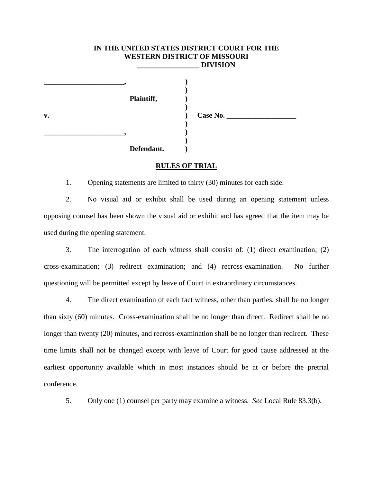## **IN THE UNITED STATES DISTRICT COURT FOR THE WESTERN DISTRICT OF MISSOURI \_\_\_\_\_\_\_\_\_\_\_\_\_\_\_\_\_ DIVISION**

**)**

**)**

**)**

**)**

 **Plaintiff, ) \_\_\_\_\_\_\_\_\_\_\_\_\_\_\_\_\_\_\_\_\_\_, )**

**\_\_\_\_\_\_\_\_\_\_\_\_\_\_\_\_\_\_\_\_\_\_, )**

**v. ) Case No. \_\_\_\_\_\_\_\_\_\_\_\_\_\_\_\_\_\_\_**

 **Defendant. )**

## **RULES OF TRIAL**

1. Opening statements are limited to thirty (30) minutes for each side.

2. No visual aid or exhibit shall be used during an opening statement unless opposing counsel has been shown the visual aid or exhibit and has agreed that the item may be used during the opening statement.

3. The interrogation of each witness shall consist of: (1) direct examination; (2) cross-examination; (3) redirect examination; and (4) recross-examination. No further questioning will be permitted except by leave of Court in extraordinary circumstances.

4. The direct examination of each fact witness, other than parties, shall be no longer than sixty (60) minutes. Cross-examination shall be no longer than direct. Redirect shall be no longer than twenty (20) minutes, and recross-examination shall be no longer than redirect. These time limits shall not be changed except with leave of Court for good cause addressed at the earliest opportunity available which in most instances should be at or before the pretrial conference.

5. Only one (1) counsel per party may examine a witness. *See* Local Rule 83.3(b).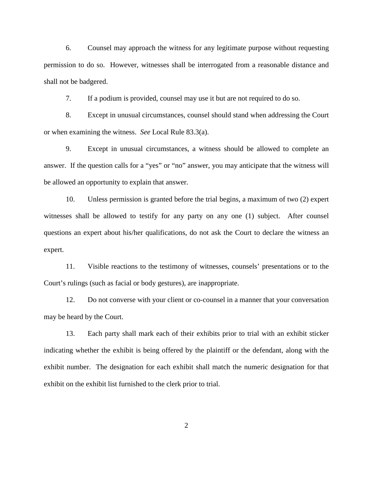6. Counsel may approach the witness for any legitimate purpose without requesting permission to do so. However, witnesses shall be interrogated from a reasonable distance and shall not be badgered.

7. If a podium is provided, counsel may use it but are not required to do so.

8. Except in unusual circumstances, counsel should stand when addressing the Court or when examining the witness. *See* Local Rule 83.3(a).

9. Except in unusual circumstances, a witness should be allowed to complete an answer. If the question calls for a "yes" or "no" answer, you may anticipate that the witness will be allowed an opportunity to explain that answer.

10. Unless permission is granted before the trial begins, a maximum of two (2) expert witnesses shall be allowed to testify for any party on any one (1) subject. After counsel questions an expert about his/her qualifications, do not ask the Court to declare the witness an expert.

11. Visible reactions to the testimony of witnesses, counsels' presentations or to the Court's rulings (such as facial or body gestures), are inappropriate.

12. Do not converse with your client or co-counsel in a manner that your conversation may be heard by the Court.

13. Each party shall mark each of their exhibits prior to trial with an exhibit sticker indicating whether the exhibit is being offered by the plaintiff or the defendant, along with the exhibit number. The designation for each exhibit shall match the numeric designation for that exhibit on the exhibit list furnished to the clerk prior to trial.

2